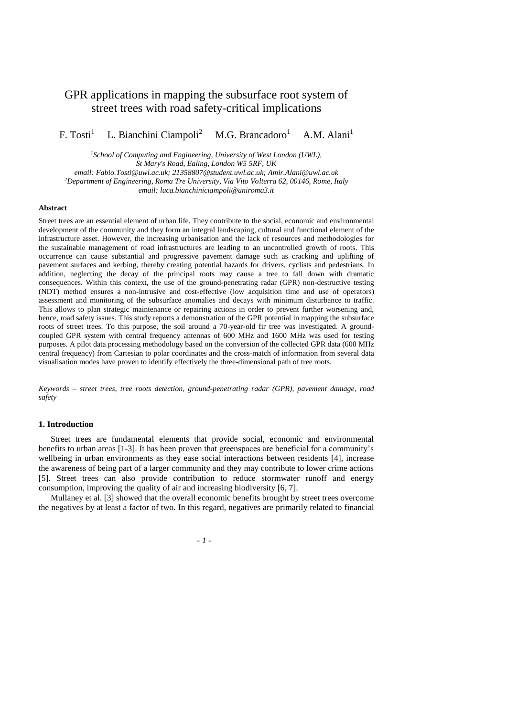# GPR applications in mapping the subsurface root system of street trees with road safety-critical implications

 $F.$  Tosti<sup>1</sup> L. Bianchini Ciampoli<sup>2</sup>  $M.G.$  Brancadoro<sup>1</sup> A.M. Alani<sup>1</sup>

*<sup>1</sup>School of Computing and Engineering, University of West London (UWL), St Mary's Road, Ealing, London W5 5RF, UK email: Fabio.Tosti@uwl.ac.uk; 21358807@student.uwl.ac.uk; Amir.Alani@uwl.ac.uk*

*<sup>2</sup>Department of Engineering, Roma Tre University, Via Vito Volterra 62, 00146, Rome, Italy email: luca.bianchiniciampoli@uniroma3.it*

## **Abstract**

Street trees are an essential element of urban life. They contribute to the social, economic and environmental development of the community and they form an integral landscaping, cultural and functional element of the infrastructure asset. However, the increasing urbanisation and the lack of resources and methodologies for the sustainable management of road infrastructures are leading to an uncontrolled growth of roots. This occurrence can cause substantial and progressive pavement damage such as cracking and uplifting of pavement surfaces and kerbing, thereby creating potential hazards for drivers, cyclists and pedestrians. In addition, neglecting the decay of the principal roots may cause a tree to fall down with dramatic consequences. Within this context, the use of the ground-penetrating radar (GPR) non-destructive testing (NDT) method ensures a non-intrusive and cost-effective (low acquisition time and use of operators) assessment and monitoring of the subsurface anomalies and decays with minimum disturbance to traffic. This allows to plan strategic maintenance or repairing actions in order to prevent further worsening and, hence, road safety issues. This study reports a demonstration of the GPR potential in mapping the subsurface roots of street trees. To this purpose, the soil around a 70-year-old fir tree was investigated. A groundcoupled GPR system with central frequency antennas of 600 MHz and 1600 MHz was used for testing purposes. A pilot data processing methodology based on the conversion of the collected GPR data (600 MHz central frequency) from Cartesian to polar coordinates and the cross-match of information from several data visualisation modes have proven to identify effectively the three-dimensional path of tree roots.

*Keywords – street trees, tree roots detection, ground-penetrating radar (GPR), pavement damage, road safety*

## **1. Introduction**

Street trees are fundamental elements that provide social, economic and environmental benefits to urban areas [1-3]. It has been proven that greenspaces are beneficial for a community's wellbeing in urban environments as they ease social interactions between residents [4], increase the awareness of being part of a larger community and they may contribute to lower crime actions [5]. Street trees can also provide contribution to reduce stormwater runoff and energy consumption, improving the quality of air and increasing biodiversity [6, 7].

Mullaney et al. [3] showed that the overall economic benefits brought by street trees overcome the negatives by at least a factor of two. In this regard, negatives are primarily related to financial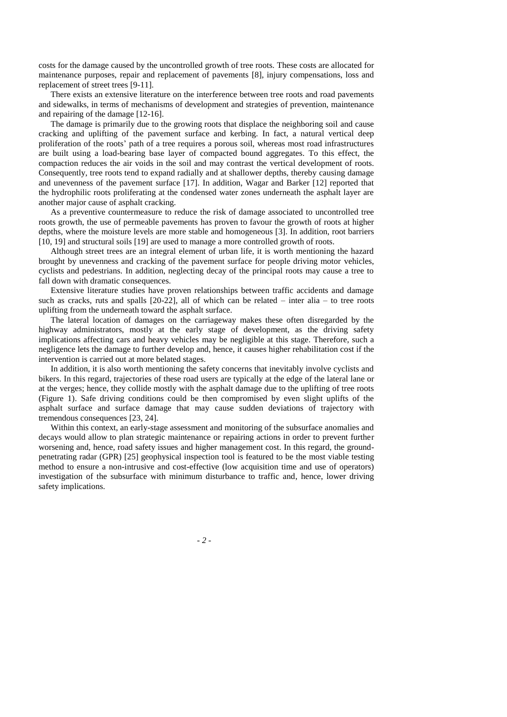costs for the damage caused by the uncontrolled growth of tree roots. These costs are allocated for maintenance purposes, repair and replacement of pavements [8], injury compensations, loss and replacement of street trees [9-11].

There exists an extensive literature on the interference between tree roots and road pavements and sidewalks, in terms of mechanisms of development and strategies of prevention, maintenance and repairing of the damage [12-16].

The damage is primarily due to the growing roots that displace the neighboring soil and cause cracking and uplifting of the pavement surface and kerbing. In fact, a natural vertical deep proliferation of the roots' path of a tree requires a porous soil, whereas most road infrastructures are built using a load-bearing base layer of compacted bound aggregates. To this effect, the compaction reduces the air voids in the soil and may contrast the vertical development of roots. Consequently, tree roots tend to expand radially and at shallower depths, thereby causing damage and unevenness of the pavement surface [17]. In addition, Wagar and Barker [12] reported that the hydrophilic roots proliferating at the condensed water zones underneath the asphalt layer are another major cause of asphalt cracking.

As a preventive countermeasure to reduce the risk of damage associated to uncontrolled tree roots growth, the use of permeable pavements has proven to favour the growth of roots at higher depths, where the moisture levels are more stable and homogeneous [3]. In addition, root barriers [10, 19] and structural soils [19] are used to manage a more controlled growth of roots.

Although street trees are an integral element of urban life, it is worth mentioning the hazard brought by unevenness and cracking of the pavement surface for people driving motor vehicles, cyclists and pedestrians. In addition, neglecting decay of the principal roots may cause a tree to fall down with dramatic consequences.

Extensive literature studies have proven relationships between traffic accidents and damage such as cracks, ruts and spalls  $[20-22]$ , all of which can be related – inter alia – to tree roots uplifting from the underneath toward the asphalt surface.

The lateral location of damages on the carriageway makes these often disregarded by the highway administrators, mostly at the early stage of development, as the driving safety implications affecting cars and heavy vehicles may be negligible at this stage. Therefore, such a negligence lets the damage to further develop and, hence, it causes higher rehabilitation cost if the intervention is carried out at more belated stages.

In addition, it is also worth mentioning the safety concerns that inevitably involve cyclists and bikers. In this regard, trajectories of these road users are typically at the edge of the lateral lane or at the verges; hence, they collide mostly with the asphalt damage due to the uplifting of tree roots (Figure 1). Safe driving conditions could be then compromised by even slight uplifts of the asphalt surface and surface damage that may cause sudden deviations of trajectory with tremendous consequences [23, 24].

Within this context, an early-stage assessment and monitoring of the subsurface anomalies and decays would allow to plan strategic maintenance or repairing actions in order to prevent further worsening and, hence, road safety issues and higher management cost. In this regard, the groundpenetrating radar (GPR) [25] geophysical inspection tool is featured to be the most viable testing method to ensure a non-intrusive and cost-effective (low acquisition time and use of operators) investigation of the subsurface with minimum disturbance to traffic and, hence, lower driving safety implications.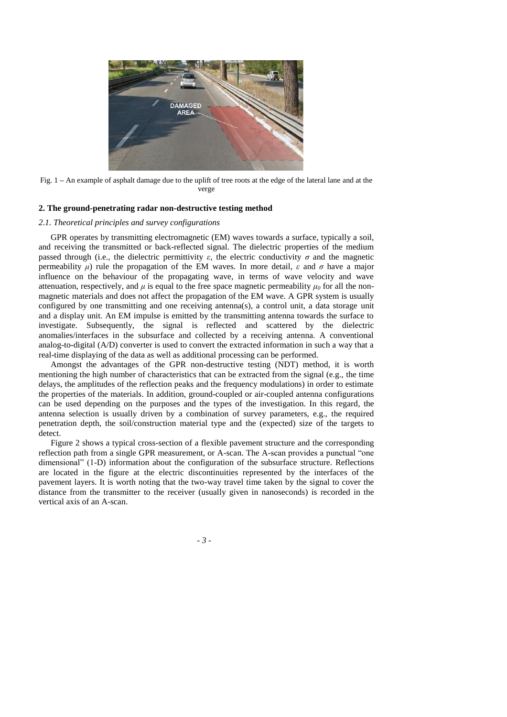

Fig. 1 **–** An example of asphalt damage due to the uplift of tree roots at the edge of the lateral lane and at the verge

## **2. The ground-penetrating radar non-destructive testing method**

## *2.1. Theoretical principles and survey configurations*

GPR operates by transmitting electromagnetic (EM) waves towards a surface, typically a soil, and receiving the transmitted or back-reflected signal. The dielectric properties of the medium passed through (i.e., the dielectric permittivity  $\varepsilon$ , the electric conductivity  $\sigma$  and the magnetic permeability *μ*) rule the propagation of the EM waves. In more detail,  $\varepsilon$  and  $\sigma$  have a major influence on the behaviour of the propagating wave, in terms of wave velocity and wave attenuation, respectively, and  $\mu$  is equal to the free space magnetic permeability  $\mu_0$  for all the nonmagnetic materials and does not affect the propagation of the EM wave. A GPR system is usually configured by one transmitting and one receiving antenna(s), a control unit, a data storage unit and a display unit. An EM impulse is emitted by the transmitting antenna towards the surface to investigate. Subsequently, the signal is reflected and scattered by the dielectric anomalies/interfaces in the subsurface and collected by a receiving antenna. A conventional analog-to-digital (A/D) converter is used to convert the extracted information in such a way that a real-time displaying of the data as well as additional processing can be performed.

Amongst the advantages of the GPR non-destructive testing (NDT) method, it is worth mentioning the high number of characteristics that can be extracted from the signal (e.g., the time delays, the amplitudes of the reflection peaks and the frequency modulations) in order to estimate the properties of the materials. In addition, ground-coupled or air-coupled antenna configurations can be used depending on the purposes and the types of the investigation. In this regard, the antenna selection is usually driven by a combination of survey parameters, e.g., the required penetration depth, the soil/construction material type and the (expected) size of the targets to detect.

Figure 2 shows a typical cross-section of a flexible pavement structure and the corresponding reflection path from a single GPR measurement, or A-scan. The A-scan provides a punctual "one dimensional" (1-D) information about the configuration of the subsurface structure. Reflections are located in the figure at the electric discontinuities represented by the interfaces of the pavement layers. It is worth noting that the two-way travel time taken by the signal to cover the distance from the transmitter to the receiver (usually given in nanoseconds) is recorded in the vertical axis of an A-scan.

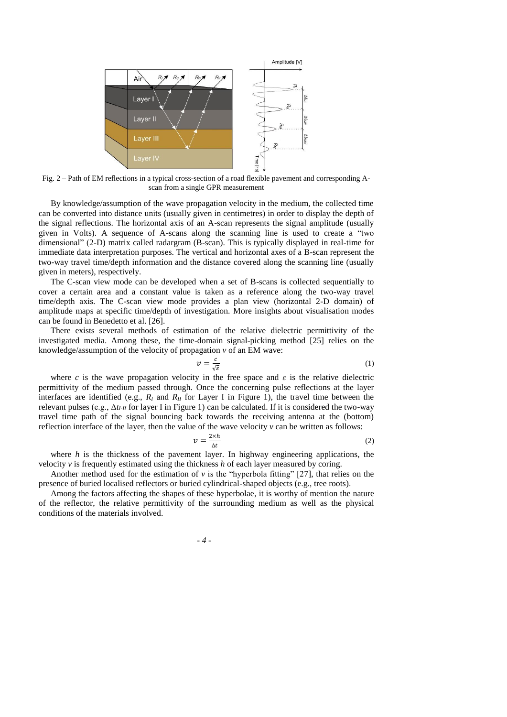

Fig. 2 **–** Path of EM reflections in a typical cross-section of a road flexible pavement and corresponding Ascan from a single GPR measurement

By knowledge/assumption of the wave propagation velocity in the medium, the collected time can be converted into distance units (usually given in centimetres) in order to display the depth of the signal reflections. The horizontal axis of an A-scan represents the signal amplitude (usually given in Volts). A sequence of A-scans along the scanning line is used to create a "two dimensional" (2-D) matrix called radargram (B-scan). This is typically displayed in real-time for immediate data interpretation purposes. The vertical and horizontal axes of a B-scan represent the two-way travel time/depth information and the distance covered along the scanning line (usually given in meters), respectively.

The C-scan view mode can be developed when a set of B-scans is collected sequentially to cover a certain area and a constant value is taken as a reference along the two-way travel time/depth axis. The C-scan view mode provides a plan view (horizontal 2-D domain) of amplitude maps at specific time/depth of investigation. More insights about visualisation modes can be found in Benedetto et al. [26].

There exists several methods of estimation of the relative dielectric permittivity of the investigated media. Among these, the time-domain signal-picking method [25] relies on the knowledge/assumption of the velocity of propagation *v* of an EM wave:

$$
v = \frac{c}{\sqrt{\varepsilon}}\tag{1}
$$

where *c* is the wave propagation velocity in the free space and  $\varepsilon$  is the relative dielectric permittivity of the medium passed through. Once the concerning pulse reflections at the layer interfaces are identified (e.g.,  $R_I$  and  $R_I$  for Layer I in Figure 1), the travel time between the relevant pulses (e.g., Δ*tI-II* for layer I in Figure 1) can be calculated. If it is considered the two-way travel time path of the signal bouncing back towards the receiving antenna at the (bottom) reflection interface of the layer, then the value of the wave velocity  $\nu$  can be written as follows:

$$
v = \frac{2 \times h}{\Delta t} \tag{2}
$$

where *h* is the thickness of the pavement layer. In highway engineering applications, the velocity *v* is frequently estimated using the thickness *h* of each layer measured by coring.

Another method used for the estimation of  $\nu$  is the "hyperbola fitting" [27], that relies on the presence of buried localised reflectors or buried cylindrical-shaped objects (e.g., tree roots).

Among the factors affecting the shapes of these hyperbolae, it is worthy of mention the nature of the reflector, the relative permittivity of the surrounding medium as well as the physical conditions of the materials involved.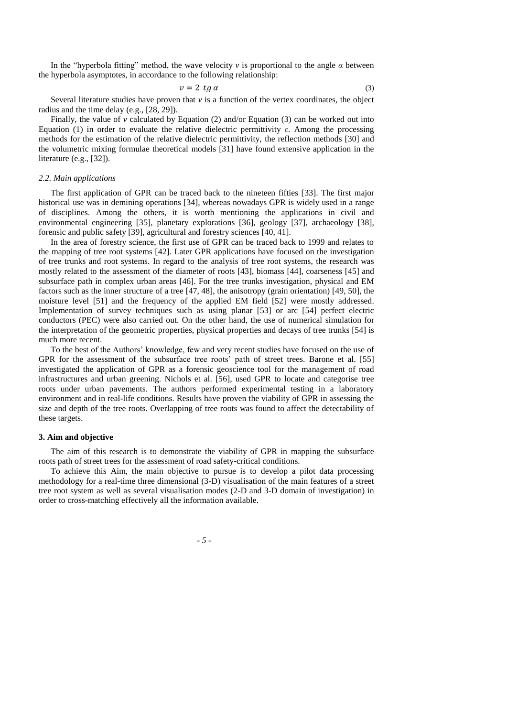In the "hyperbola fitting" method, the wave velocity *v* is proportional to the angle *α* between the hyperbola asymptotes, in accordance to the following relationship:

 $v = 2$  tg  $\alpha$  (3)

Several literature studies have proven that  $v$  is a function of the vertex coordinates, the object radius and the time delay (e.g., [28, 29]).

Finally, the value of  $\nu$  calculated by Equation (2) and/or Equation (3) can be worked out into Equation (1) in order to evaluate the relative dielectric permittivity *ε*. Among the processing methods for the estimation of the relative dielectric permittivity, the reflection methods [30] and the volumetric mixing formulae theoretical models [31] have found extensive application in the literature (e.g., [32]).

## *2.2. Main applications*

The first application of GPR can be traced back to the nineteen fifties [33]. The first major historical use was in demining operations [34], whereas nowadays GPR is widely used in a range of disciplines. Among the others, it is worth mentioning the applications in civil and environmental engineering [35], planetary explorations [36], geology [37], archaeology [38], forensic and public safety [39], agricultural and forestry sciences [40, 41].

In the area of forestry science, the first use of GPR can be traced back to 1999 and relates to the mapping of tree root systems [42]. Later GPR applications have focused on the investigation of tree trunks and root systems. In regard to the analysis of tree root systems, the research was mostly related to the assessment of the diameter of roots [43], biomass [44], coarseness [45] and subsurface path in complex urban areas [46]. For the tree trunks investigation, physical and EM factors such as the inner structure of a tree [47, 48], the anisotropy (grain orientation) [49, 50], the moisture level [51] and the frequency of the applied EM field [52] were mostly addressed. Implementation of survey techniques such as using planar [53] or arc [54] perfect electric conductors (PEC) were also carried out. On the other hand, the use of numerical simulation for the interpretation of the geometric properties, physical properties and decays of tree trunks [54] is much more recent.

To the best of the Authors' knowledge, few and very recent studies have focused on the use of GPR for the assessment of the subsurface tree roots' path of street trees. Barone et al. [55] investigated the application of GPR as a forensic geoscience tool for the management of road infrastructures and urban greening. Nichols et al. [56], used GPR to locate and categorise tree roots under urban pavements. The authors performed experimental testing in a laboratory environment and in real-life conditions. Results have proven the viability of GPR in assessing the size and depth of the tree roots. Overlapping of tree roots was found to affect the detectability of these targets.

#### **3. Aim and objective**

The aim of this research is to demonstrate the viability of GPR in mapping the subsurface roots path of street trees for the assessment of road safety-critical conditions.

To achieve this Aim, the main objective to pursue is to develop a pilot data processing methodology for a real-time three dimensional (3-D) visualisation of the main features of a street tree root system as well as several visualisation modes (2-D and 3-D domain of investigation) in order to cross-matching effectively all the information available.

*- 5 -*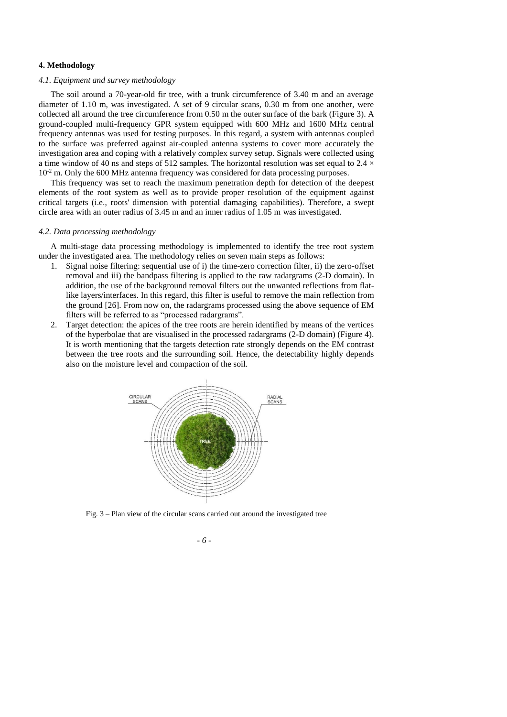## **4. Methodology**

## *4.1. Equipment and survey methodology*

The soil around a 70-year-old fir tree, with a trunk circumference of 3.40 m and an average diameter of 1.10 m, was investigated. A set of 9 circular scans, 0.30 m from one another, were collected all around the tree circumference from 0.50 m the outer surface of the bark (Figure 3). A ground-coupled multi-frequency GPR system equipped with 600 MHz and 1600 MHz central frequency antennas was used for testing purposes. In this regard, a system with antennas coupled to the surface was preferred against air-coupled antenna systems to cover more accurately the investigation area and coping with a relatively complex survey setup. Signals were collected using a time window of 40 ns and steps of 512 samples. The horizontal resolution was set equal to 2.4  $\times$  $10<sup>-2</sup>$  m. Only the 600 MHz antenna frequency was considered for data processing purposes.

This frequency was set to reach the maximum penetration depth for detection of the deepest elements of the root system as well as to provide proper resolution of the equipment against critical targets (i.e., roots' dimension with potential damaging capabilities). Therefore, a swept circle area with an outer radius of 3.45 m and an inner radius of 1.05 m was investigated.

#### *4.2. Data processing methodology*

A multi-stage data processing methodology is implemented to identify the tree root system under the investigated area. The methodology relies on seven main steps as follows:

- 1. Signal noise filtering: sequential use of i) the time-zero correction filter, ii) the zero-offset removal and iii) the bandpass filtering is applied to the raw radargrams (2-D domain). In addition, the use of the background removal filters out the unwanted reflections from flatlike layers/interfaces. In this regard, this filter is useful to remove the main reflection from the ground [26]. From now on, the radargrams processed using the above sequence of EM filters will be referred to as "processed radargrams".
- 2. Target detection: the apices of the tree roots are herein identified by means of the vertices of the hyperbolae that are visualised in the processed radargrams (2-D domain) (Figure 4). It is worth mentioning that the targets detection rate strongly depends on the EM contrast between the tree roots and the surrounding soil. Hence, the detectability highly depends also on the moisture level and compaction of the soil.



Fig. 3 – Plan view of the circular scans carried out around the investigated tree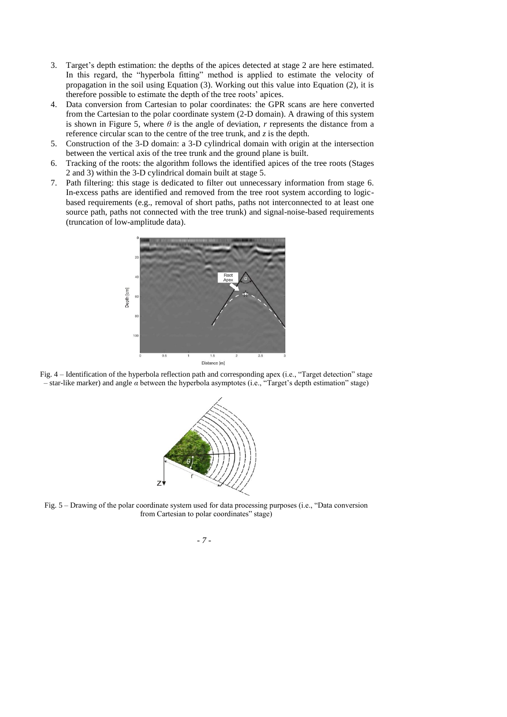- 3. Target's depth estimation: the depths of the apices detected at stage 2 are here estimated. In this regard, the "hyperbola fitting" method is applied to estimate the velocity of propagation in the soil using Equation (3). Working out this value into Equation (2), it is therefore possible to estimate the depth of the tree roots' apices.
- 4. Data conversion from Cartesian to polar coordinates: the GPR scans are here converted from the Cartesian to the polar coordinate system (2-D domain). A drawing of this system is shown in Figure 5, where  $\theta$  is the angle of deviation, *r* represents the distance from a reference circular scan to the centre of the tree trunk, and *z* is the depth.
- 5. Construction of the 3-D domain: a 3-D cylindrical domain with origin at the intersection between the vertical axis of the tree trunk and the ground plane is built.
- 6. Tracking of the roots: the algorithm follows the identified apices of the tree roots (Stages 2 and 3) within the 3-D cylindrical domain built at stage 5.
- 7. Path filtering: this stage is dedicated to filter out unnecessary information from stage 6. In-excess paths are identified and removed from the tree root system according to logicbased requirements (e.g., removal of short paths, paths not interconnected to at least one source path, paths not connected with the tree trunk) and signal-noise-based requirements (truncation of low-amplitude data).







Fig. 5 – Drawing of the polar coordinate system used for data processing purposes (i.e., "Data conversion from Cartesian to polar coordinates" stage)

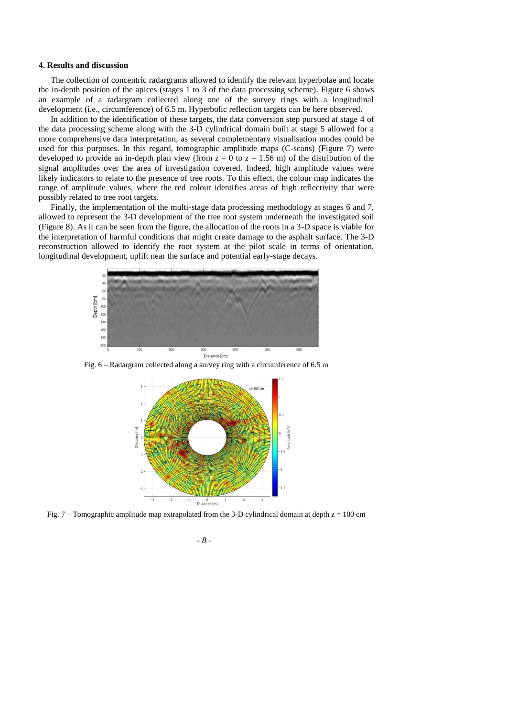#### **4. Results and discussion**

The collection of concentric radargrams allowed to identify the relevant hyperbolae and locate the in-depth position of the apices (stages 1 to 3 of the data processing scheme). Figure 6 shows an example of a radargram collected along one of the survey rings with a longitudinal development (i.e., circumference) of 6.5 m. Hyperbolic reflection targets can be here observed.

In addition to the identification of these targets, the data conversion step pursued at stage 4 of the data processing scheme along with the 3-D cylindrical domain built at stage 5 allowed for a more comprehensive data interpretation, as several complementary visualisation modes could be used for this purposes. In this regard, tomographic amplitude maps (C-scans) (Figure 7) were developed to provide an in-depth plan view (from  $z = 0$  to  $z = 1.56$  m) of the distribution of the signal amplitudes over the area of investigation covered. Indeed, high amplitude values were likely indicators to relate to the presence of tree roots. To this effect, the colour map indicates the range of amplitude values, where the red colour identifies areas of high reflectivity that were possibly related to tree root targets.

Finally, the implementation of the multi-stage data processing methodology at stages 6 and 7, allowed to represent the 3-D development of the tree root system underneath the investigated soil (Figure 8). As it can be seen from the figure, the allocation of the roots in a 3-D space is viable for the interpretation of harmful conditions that might create damage to the asphalt surface. The 3-D reconstruction allowed to identify the root system at the pilot scale in terms of orientation, longitudinal development, uplift near the surface and potential early-stage decays.



Fig. 6 – Radargram collected along a survey ring with a circumference of 6.5 m



Fig. 7 – Tomographic amplitude map extrapolated from the 3-D cylindrical domain at depth  $z = 100$  cm

*<sup>-</sup> 8 -*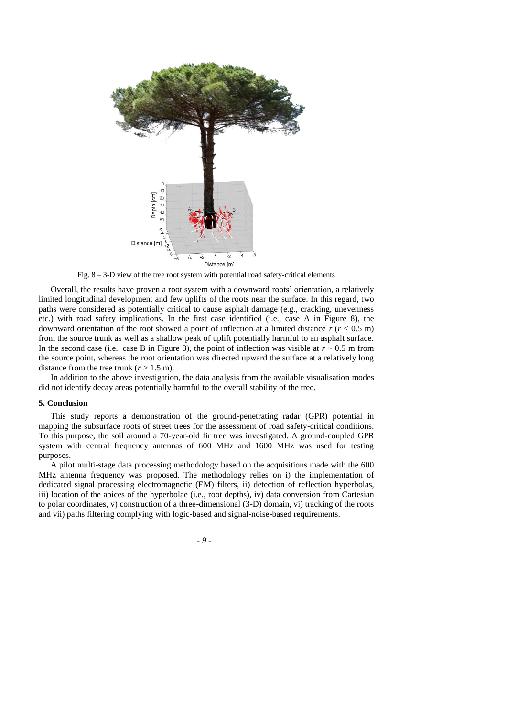

Fig. 8 – 3-D view of the tree root system with potential road safety-critical elements

Overall, the results have proven a root system with a downward roots' orientation, a relatively limited longitudinal development and few uplifts of the roots near the surface. In this regard, two paths were considered as potentially critical to cause asphalt damage (e.g., cracking, unevenness etc.) with road safety implications. In the first case identified (i.e., case A in Figure 8), the downward orientation of the root showed a point of inflection at a limited distance  $r (r < 0.5 \text{ m})$ from the source trunk as well as a shallow peak of uplift potentially harmful to an asphalt surface. In the second case (i.e., case B in Figure 8), the point of inflection was visible at  $r \sim 0.5$  m from the source point, whereas the root orientation was directed upward the surface at a relatively long distance from the tree trunk  $(r > 1.5 \text{ m})$ .

In addition to the above investigation, the data analysis from the available visualisation modes did not identify decay areas potentially harmful to the overall stability of the tree.

#### **5. Conclusion**

This study reports a demonstration of the ground-penetrating radar (GPR) potential in mapping the subsurface roots of street trees for the assessment of road safety-critical conditions. To this purpose, the soil around a 70-year-old fir tree was investigated. A ground-coupled GPR system with central frequency antennas of 600 MHz and 1600 MHz was used for testing purposes.

A pilot multi-stage data processing methodology based on the acquisitions made with the 600 MHz antenna frequency was proposed. The methodology relies on i) the implementation of dedicated signal processing electromagnetic (EM) filters, ii) detection of reflection hyperbolas, iii) location of the apices of the hyperbolae (i.e., root depths), iv) data conversion from Cartesian to polar coordinates, v) construction of a three-dimensional (3-D) domain, vi) tracking of the roots and vii) paths filtering complying with logic-based and signal-noise-based requirements.

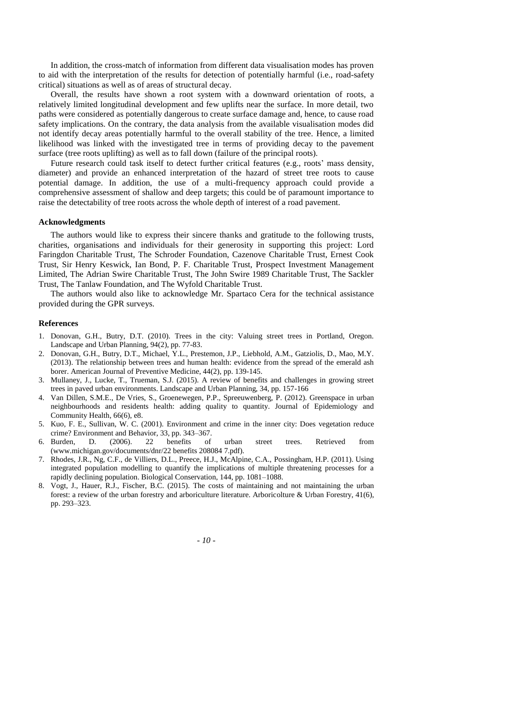In addition, the cross-match of information from different data visualisation modes has proven to aid with the interpretation of the results for detection of potentially harmful (i.e., road-safety critical) situations as well as of areas of structural decay.

Overall, the results have shown a root system with a downward orientation of roots, a relatively limited longitudinal development and few uplifts near the surface. In more detail, two paths were considered as potentially dangerous to create surface damage and, hence, to cause road safety implications. On the contrary, the data analysis from the available visualisation modes did not identify decay areas potentially harmful to the overall stability of the tree. Hence, a limited likelihood was linked with the investigated tree in terms of providing decay to the pavement surface (tree roots uplifting) as well as to fall down (failure of the principal roots).

Future research could task itself to detect further critical features (e.g., roots' mass density, diameter) and provide an enhanced interpretation of the hazard of street tree roots to cause potential damage. In addition, the use of a multi-frequency approach could provide a comprehensive assessment of shallow and deep targets; this could be of paramount importance to raise the detectability of tree roots across the whole depth of interest of a road pavement.

#### **Acknowledgments**

The authors would like to express their sincere thanks and gratitude to the following trusts, charities, organisations and individuals for their generosity in supporting this project: Lord Faringdon Charitable Trust, The Schroder Foundation, Cazenove Charitable Trust, Ernest Cook Trust, Sir Henry Keswick, Ian Bond, P. F. Charitable Trust, Prospect Investment Management Limited, The Adrian Swire Charitable Trust, The John Swire 1989 Charitable Trust, The Sackler Trust, The Tanlaw Foundation, and The Wyfold Charitable Trust.

The authors would also like to acknowledge Mr. Spartaco Cera for the technical assistance provided during the GPR surveys.

## **References**

- 1. Donovan, G.H., Butry, D.T. (2010). Trees in the city: Valuing street trees in Portland, Oregon. Landscape and Urban Planning, 94(2), pp. 77-83.
- 2. Donovan, G.H., Butry, D.T., Michael, Y.L., Prestemon, J.P., Liebhold, A.M., Gatziolis, D., Mao, M.Y. (2013). The relationship between trees and human health: evidence from the spread of the emerald ash borer. American Journal of Preventive Medicine, 44(2), pp. 139-145.
- 3. Mullaney, J., Lucke, T., Trueman, S.J. (2015). A review of benefits and challenges in growing street trees in paved urban environments. Landscape and Urban Planning, 34, pp. 157-166
- 4. Van Dillen, S.M.E., De Vries, S., Groenewegen, P.P., Spreeuwenberg, P. (2012). Greenspace in urban neighbourhoods and residents health: adding quality to quantity. Journal of Epidemiology and Community Health, 66(6), e8.
- 5. Kuo, F. E., Sullivan, W. C. (2001). Environment and crime in the inner city: Does vegetation reduce crime? Environment and Behavior, 33, pp. 343–367.
- 6. Burden, D. (2006). 22 benefits of urban street trees. Retrieved from (www.michigan.gov/documents/dnr/22 benefits 208084 7.pdf).
- 7. Rhodes, J.R., Ng, C.F., de Villiers, D.L., Preece, H.J., McAlpine, C.A., Possingham, H.P. (2011). Using integrated population modelling to quantify the implications of multiple threatening processes for a rapidly declining population. Biological Conservation, 144, pp. 1081–1088.
- 8. Vogt, J., Hauer, R.J., Fischer, B.C. (2015). The costs of maintaining and not maintaining the urban forest: a review of the urban forestry and arboriculture literature. Arboricolture & Urban Forestry, 41(6), pp. 293–323.

*- 10 -*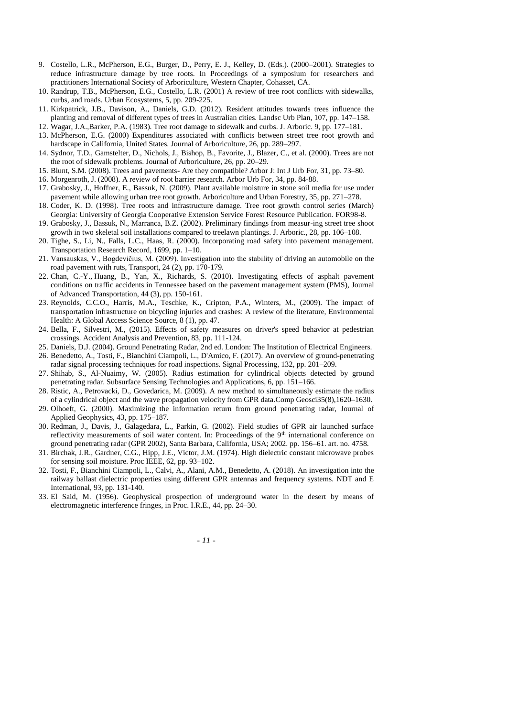- 9. Costello, L.R., McPherson, E.G., Burger, D., Perry, E. J., Kelley, D. (Eds.). (2000–2001). Strategies to reduce infrastructure damage by tree roots. In Proceedings of a symposium for researchers and practitioners International Society of Arboriculture, Western Chapter, Cohasset, CA.
- 10. Randrup, T.B., McPherson, E.G., Costello, L.R. (2001) A review of tree root conflicts with sidewalks, curbs, and roads. Urban Ecosystems, 5, pp. 209-225.
- 11. Kirkpatrick, J.B., Davison, A., Daniels, G.D. (2012). Resident attitudes towards trees influence the planting and removal of different types of trees in Australian cities. Landsc Urb Plan, 107, pp. 147–158.
- 12. Wagar, J.A.,Barker, P.A. (1983). Tree root damage to sidewalk and curbs. J. Arboric. 9, pp. 177–181.
- 13. McPherson, E.G. (2000) Expenditures associated with conflicts between street tree root growth and hardscape in California, United States. Journal of Arboriculture, 26, pp. 289–297.
- 14. Sydnor, T.D., Gamstelter, D., Nichols, J., Bishop, B., Favorite, J., Blazer, C., et al. (2000). Trees are not the root of sidewalk problems. Journal of Arboriculture, 26, pp. 20–29.
- 15. Blunt, S.M. (2008). Trees and pavements- Are they compatible? Arbor J: Int J Urb For, 31, pp. 73–80.
- 16. Morgenroth, J. (2008). A review of root barrier research. Arbor Urb For, 34, pp. 84-88.
- 17. Grabosky, J., Hoffner, E., Bassuk, N. (2009). Plant available moisture in stone soil media for use under pavement while allowing urban tree root growth. Arboriculture and Urban Forestry, 35, pp. 271–278.
- 18. Coder, K. D. (1998). Tree roots and infrastructure damage. Tree root growth control series (March) Georgia: University of Georgia Cooperative Extension Service Forest Resource Publication. FOR98-8.
- 19. Grabosky, J., Bassuk, N., Marranca, B.Z. (2002). Preliminary findings from measur-ing street tree shoot growth in two skeletal soil installations compared to treelawn plantings. J. Arboric., 28, pp. 106–108.
- 20. Tighe, S., Li, N., Falls, L.C., Haas, R. (2000). Incorporating road safety into pavement management. Transportation Research Record, 1699, pp. 1–10.
- 21. Vansauskas, V., Bogdevičius, M. (2009). Investigation into the stability of driving an automobile on the road pavement with ruts, Transport, 24 (2), pp. 170-179.
- 22. Chan, C.-Y., Huang, B., Yan, X., Richards, S. (2010). Investigating effects of asphalt pavement conditions on traffic accidents in Tennessee based on the pavement management system (PMS), Journal of Advanced Transportation, 44 (3), pp. 150-161.
- 23. Reynolds, C.C.O., Harris, M.A., Teschke, K., Cripton, P.A., Winters, M., (2009). The impact of transportation infrastructure on bicycling injuries and crashes: A review of the literature, Environmental Health: A Global Access Science Source, 8 (1), pp. 47.
- 24. Bella, F., Silvestri, M., (2015). Effects of safety measures on driver's speed behavior at pedestrian crossings. Accident Analysis and Prevention, 83, pp. 111-124.
- 25. Daniels, D.J. (2004). Ground Penetrating Radar, 2nd ed. London: The Institution of Electrical Engineers.
- 26. Benedetto, A., Tosti, F., Bianchini Ciampoli, L., D'Amico, F. (2017). An overview of ground-penetrating radar signal processing techniques for road inspections. Signal Processing, 132, pp. 201–209.
- 27. Shihab, S., Al-Nuaimy, W. (2005). Radius estimation for cylindrical objects detected by ground penetrating radar. Subsurface Sensing Technologies and Applications, 6, pp. 151–166.
- 28. Ristic, A., Petrovacki, D., Govedarica, M. (2009). A new method to simultaneously estimate the radius of a cylindrical object and the wave propagation velocity from GPR data.Comp Geosci35(8),1620–1630.
- 29. Olhoeft, G. (2000). Maximizing the information return from ground penetrating radar, Journal of Applied Geophysics, 43, pp. 175–187.
- 30. Redman, J., Davis, J., Galagedara, L., Parkin, G. (2002). Field studies of GPR air launched surface reflectivity measurements of soil water content. In: Proceedings of the 9<sup>th</sup> international conference on ground penetrating radar (GPR 2002), Santa Barbara, California, USA; 2002. pp. 156–61. art. no. 4758.
- 31. Birchak, J.R., Gardner, C.G., Hipp, J.E., Victor, J.M. (1974). High dielectric constant microwave probes for sensing soil moisture. Proc IEEE, 62, pp. 93–102.
- 32. Tosti, F., Bianchini Ciampoli, L., Calvi, A., Alani, A.M., Benedetto, A. (2018). An investigation into the railway ballast dielectric properties using different GPR antennas and frequency systems. NDT and E International, 93, pp. 131-140.
- 33. El Said, M. (1956). Geophysical prospection of underground water in the desert by means of electromagnetic interference fringes, in Proc. I.R.E., 44, pp. 24–30.

*- 11 -*